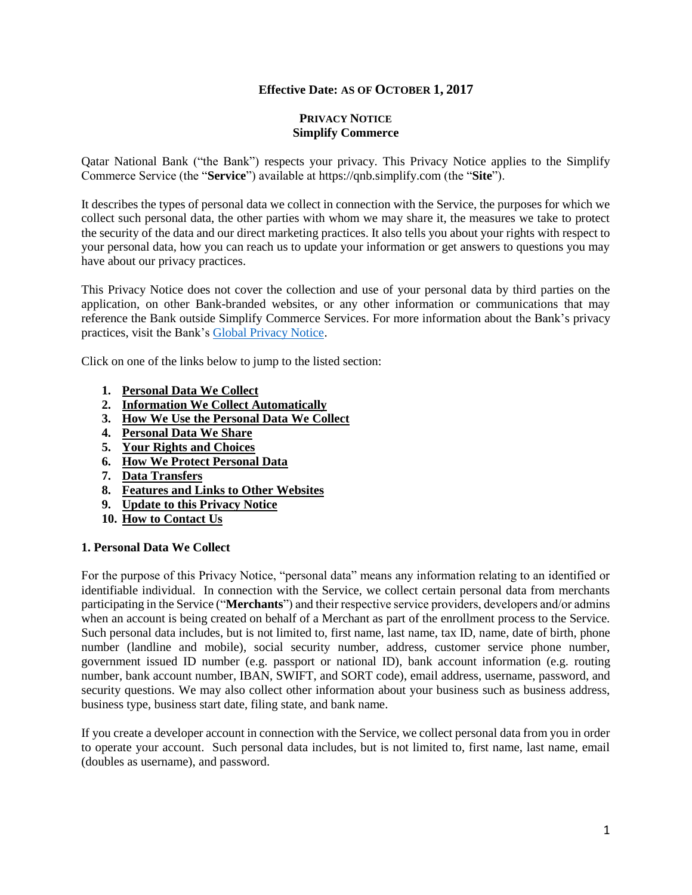## **Effective Date: AS OF OCTOBER 1, 2017**

#### **PRIVACY NOTICE Simplify Commerce**

Qatar National Bank ("the Bank") respects your privacy. This Privacy Notice applies to the Simplify Commerce Service (the "**Service**") available at https://qnb.simplify.com (the "**Site**").

It describes the types of personal data we collect in connection with the Service, the purposes for which we collect such personal data, the other parties with whom we may share it, the measures we take to protect the security of the data and our direct marketing practices. It also tells you about your rights with respect to your personal data, how you can reach us to update your information or get answers to questions you may have about our privacy practices.

This Privacy Notice does not cover the collection and use of your personal data by third parties on the application, on other Bank-branded websites, or any other information or communications that may reference the Bank outside Simplify Commerce Services. For more information about the Bank's privacy practices, visit the Bank's [Global Privacy Notice.](http://www.qnb.com/cs/Satellite/QNBGlobal/en/enPrivacyPolicy)

Click on one of the links below to jump to the listed section:

- **1. Personal Data We Collect**
- **2. Information We Collect Automatically**
- **3. How We Use the Personal Data We Collect**
- **4. Personal Data We Share**
- **5. Your Rights and Choices**
- **6. How We Protect Personal Data**
- **7. Data Transfers**
- **8. Features and Links to Other Websites**
- **9. Update to this Privacy Notice**
- **10. How to Contact Us**

#### **1. Personal Data We Collect**

For the purpose of this Privacy Notice, "personal data" means any information relating to an identified or identifiable individual. In connection with the Service, we collect certain personal data from merchants participating in the Service ("**Merchants**") and their respective service providers, developers and/or admins when an account is being created on behalf of a Merchant as part of the enrollment process to the Service. Such personal data includes, but is not limited to, first name, last name, tax ID, name, date of birth, phone number (landline and mobile), social security number, address, customer service phone number, government issued ID number (e.g. passport or national ID), bank account information (e.g. routing number, bank account number, IBAN, SWIFT, and SORT code), email address, username, password, and security questions. We may also collect other information about your business such as business address, business type, business start date, filing state, and bank name.

If you create a developer account in connection with the Service, we collect personal data from you in order to operate your account. Such personal data includes, but is not limited to, first name, last name, email (doubles as username), and password.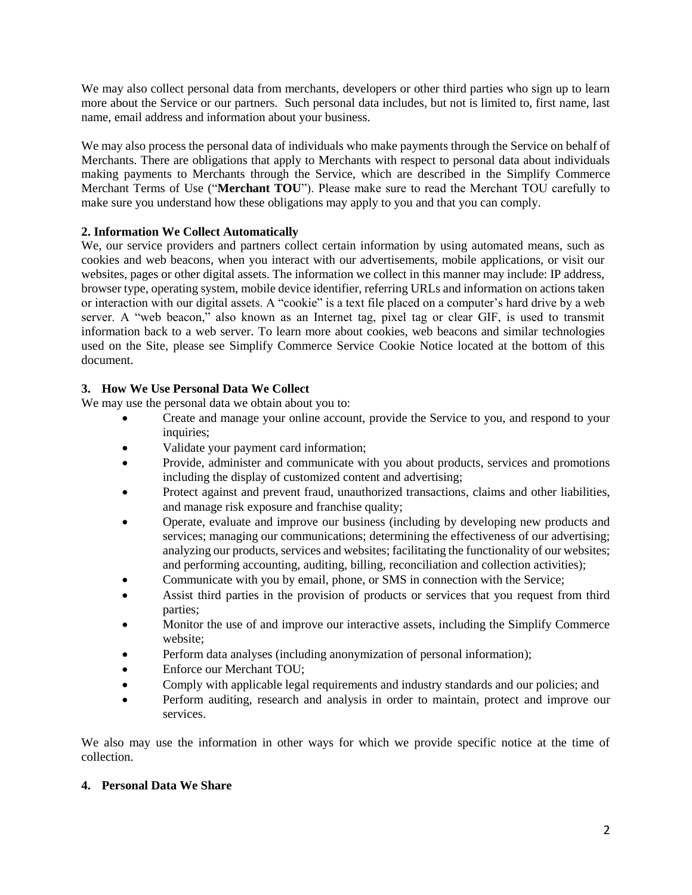We may also collect personal data from merchants, developers or other third parties who sign up to learn more about the Service or our partners. Such personal data includes, but not is limited to, first name, last name, email address and information about your business.

We may also process the personal data of individuals who make payments through the Service on behalf of Merchants. There are obligations that apply to Merchants with respect to personal data about individuals making payments to Merchants through the Service, which are described in the Simplify Commerce Merchant Terms of Use ("**Merchant TOU**"). Please make sure to read the Merchant TOU carefully to make sure you understand how these obligations may apply to you and that you can comply.

# **2. Information We Collect Automatically**

We, our service providers and partners collect certain information by using automated means, such as cookies and web beacons, when you interact with our advertisements, mobile applications, or visit our websites, pages or other digital assets. The information we collect in this manner may include: IP address, browser type, operating system, mobile device identifier, referring URLs and information on actions taken or interaction with our digital assets. A "cookie" is a text file placed on a computer's hard drive by a web server. A "web beacon," also known as an Internet tag, pixel tag or clear GIF, is used to transmit information back to a web server. To learn more about cookies, web beacons and similar technologies used on the Site, please see Simplify Commerce Service Cookie Notice located at the bottom of this document.

# **3. How We Use Personal Data We Collect**

We may use the personal data we obtain about you to:

- Create and manage your online account, provide the Service to you, and respond to your inquiries;
- Validate your payment card information;
- Provide, administer and communicate with you about products, services and promotions including the display of customized content and advertising;
- Protect against and prevent fraud, unauthorized transactions, claims and other liabilities, and manage risk exposure and franchise quality;
- Operate, evaluate and improve our business (including by developing new products and services; managing our communications; determining the effectiveness of our advertising; analyzing our products, services and websites; facilitating the functionality of our websites; and performing accounting, auditing, billing, reconciliation and collection activities);
- Communicate with you by email, phone, or SMS in connection with the Service;
- Assist third parties in the provision of products or services that you request from third parties;
- Monitor the use of and improve our interactive assets, including the Simplify Commerce website;
- Perform data analyses (including anonymization of personal information);
- Enforce our Merchant TOU;
- Comply with applicable legal requirements and industry standards and our policies; and
- Perform auditing, research and analysis in order to maintain, protect and improve our services.

We also may use the information in other ways for which we provide specific notice at the time of collection.

### **4. Personal Data We Share**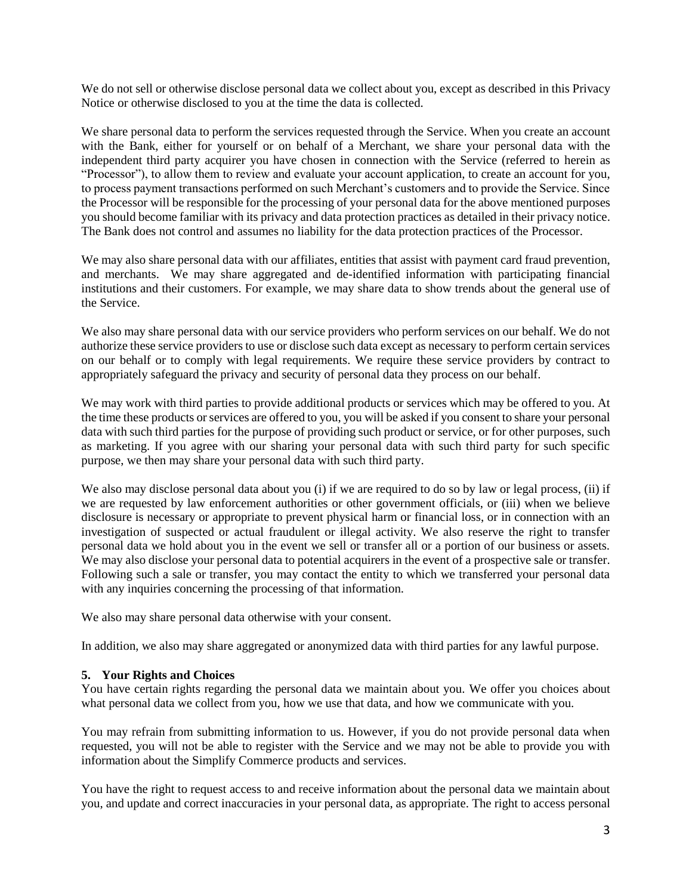We do not sell or otherwise disclose personal data we collect about you, except as described in this Privacy Notice or otherwise disclosed to you at the time the data is collected.

We share personal data to perform the services requested through the Service. When you create an account with the Bank, either for yourself or on behalf of a Merchant, we share your personal data with the independent third party acquirer you have chosen in connection with the Service (referred to herein as "Processor"), to allow them to review and evaluate your account application, to create an account for you, to process payment transactions performed on such Merchant's customers and to provide the Service. Since the Processor will be responsible for the processing of your personal data for the above mentioned purposes you should become familiar with its privacy and data protection practices as detailed in their privacy notice. The Bank does not control and assumes no liability for the data protection practices of the Processor.

We may also share personal data with our affiliates, entities that assist with payment card fraud prevention, and merchants. We may share aggregated and de-identified information with participating financial institutions and their customers. For example, we may share data to show trends about the general use of the Service.

We also may share personal data with our service providers who perform services on our behalf. We do not authorize these service providers to use or disclose such data except as necessary to perform certain services on our behalf or to comply with legal requirements. We require these service providers by contract to appropriately safeguard the privacy and security of personal data they process on our behalf.

We may work with third parties to provide additional products or services which may be offered to you. At the time these products or services are offered to you, you will be asked if you consent to share your personal data with such third parties for the purpose of providing such product or service, or for other purposes, such as marketing. If you agree with our sharing your personal data with such third party for such specific purpose, we then may share your personal data with such third party.

We also may disclose personal data about you (i) if we are required to do so by law or legal process, (ii) if we are requested by law enforcement authorities or other government officials, or (iii) when we believe disclosure is necessary or appropriate to prevent physical harm or financial loss, or in connection with an investigation of suspected or actual fraudulent or illegal activity. We also reserve the right to transfer personal data we hold about you in the event we sell or transfer all or a portion of our business or assets. We may also disclose your personal data to potential acquirers in the event of a prospective sale or transfer. Following such a sale or transfer, you may contact the entity to which we transferred your personal data with any inquiries concerning the processing of that information.

We also may share personal data otherwise with your consent.

In addition, we also may share aggregated or anonymized data with third parties for any lawful purpose.

### **5. Your Rights and Choices**

You have certain rights regarding the personal data we maintain about you. We offer you choices about what personal data we collect from you, how we use that data, and how we communicate with you.

You may refrain from submitting information to us. However, if you do not provide personal data when requested, you will not be able to register with the Service and we may not be able to provide you with information about the Simplify Commerce products and services.

You have the right to request access to and receive information about the personal data we maintain about you, and update and correct inaccuracies in your personal data, as appropriate. The right to access personal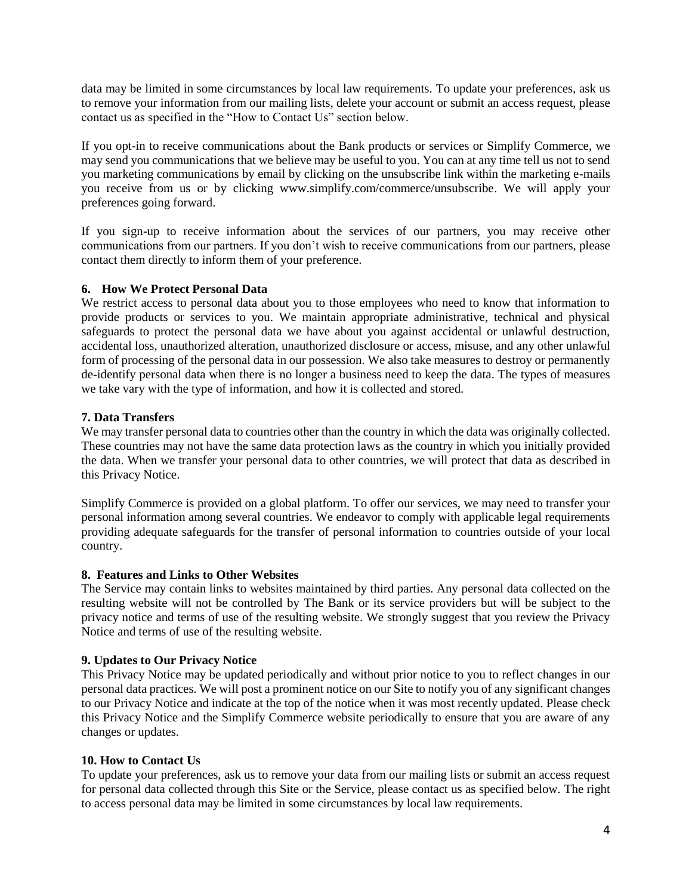data may be limited in some circumstances by local law requirements. To update your preferences, ask us to remove your information from our mailing lists, delete your account or submit an access request, please contact us as specified in the "How to Contact Us" section below.

If you opt-in to receive communications about the Bank products or services or Simplify Commerce, we may send you communications that we believe may be useful to you. You can at any time tell us not to send you marketing communications by email by clicking on the unsubscribe link within the marketing e-mails you receive from us or by clicking www.simplify.com/commerce/unsubscribe. We will apply your preferences going forward.

If you sign-up to receive information about the services of our partners, you may receive other communications from our partners. If you don't wish to receive communications from our partners, please contact them directly to inform them of your preference.

## **6. How We Protect Personal Data**

We restrict access to personal data about you to those employees who need to know that information to provide products or services to you. We maintain appropriate administrative, technical and physical safeguards to protect the personal data we have about you against accidental or unlawful destruction, accidental loss, unauthorized alteration, unauthorized disclosure or access, misuse, and any other unlawful form of processing of the personal data in our possession. We also take measures to destroy or permanently de-identify personal data when there is no longer a business need to keep the data. The types of measures we take vary with the type of information, and how it is collected and stored.

## **7. Data Transfers**

We may transfer personal data to countries other than the country in which the data was originally collected. These countries may not have the same data protection laws as the country in which you initially provided the data. When we transfer your personal data to other countries, we will protect that data as described in this Privacy Notice.

Simplify Commerce is provided on a global platform. To offer our services, we may need to transfer your personal information among several countries. We endeavor to comply with applicable legal requirements providing adequate safeguards for the transfer of personal information to countries outside of your local country.

### **8. Features and Links to Other Websites**

The Service may contain links to websites maintained by third parties. Any personal data collected on the resulting website will not be controlled by The Bank or its service providers but will be subject to the privacy notice and terms of use of the resulting website. We strongly suggest that you review the Privacy Notice and terms of use of the resulting website.

### **9. Updates to Our Privacy Notice**

This Privacy Notice may be updated periodically and without prior notice to you to reflect changes in our personal data practices. We will post a prominent notice on our Site to notify you of any significant changes to our Privacy Notice and indicate at the top of the notice when it was most recently updated. Please check this Privacy Notice and the Simplify Commerce website periodically to ensure that you are aware of any changes or updates.

### **10. How to Contact Us**

To update your preferences, ask us to remove your data from our mailing lists or submit an access request for personal data collected through this Site or the Service, please contact us as specified below. The right to access personal data may be limited in some circumstances by local law requirements.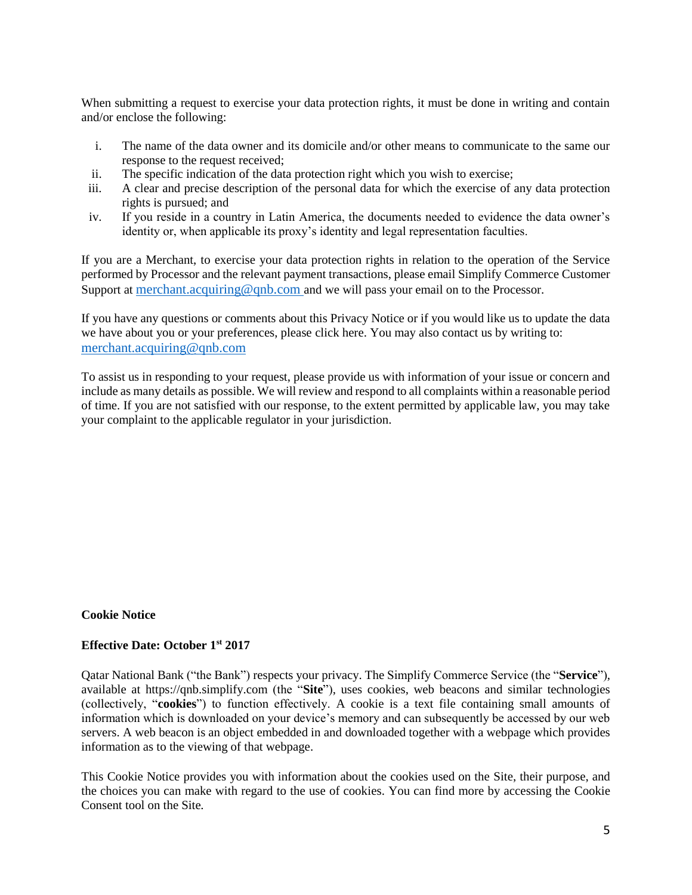When submitting a request to exercise your data protection rights, it must be done in writing and contain and/or enclose the following:

- i. The name of the data owner and its domicile and/or other means to communicate to the same our response to the request received;
- ii. The specific indication of the data protection right which you wish to exercise;
- iii. A clear and precise description of the personal data for which the exercise of any data protection rights is pursued; and
- iv. If you reside in a country in Latin America, the documents needed to evidence the data owner's identity or, when applicable its proxy's identity and legal representation faculties.

If you are a Merchant, to exercise your data protection rights in relation to the operation of the Service performed by Processor and the relevant payment transactions, please email Simplify Commerce Customer Support at [merchant.acquiring@qnb.com](mailto:merchant.acquiring@qnb.com) and we will pass your email on to the Processor.

If you have any questions or comments about this Privacy Notice or if you would like us to update the data we have about you or your preferences, please click here. You may also contact us by writing to: [merchant.acquiring@qnb.com](mailto:merchant.acquiring@qnb.com)

To assist us in responding to your request, please provide us with information of your issue or concern and include as many details as possible. We will review and respond to all complaints within a reasonable period of time. If you are not satisfied with our response, to the extent permitted by applicable law, you may take your complaint to the applicable regulator in your jurisdiction.

### **Cookie Notice**

#### **Effective Date: October 1st 2017**

Qatar National Bank ("the Bank") respects your privacy. The Simplify Commerce Service (the "**Service**"), available at https://qnb.simplify.com (the "**Site**"), uses cookies, web beacons and similar technologies (collectively, "**cookies**") to function effectively. A cookie is a text file containing small amounts of information which is downloaded on your device's memory and can subsequently be accessed by our web servers. A web beacon is an object embedded in and downloaded together with a webpage which provides information as to the viewing of that webpage.

This Cookie Notice provides you with information about the cookies used on the Site, their purpose, and the choices you can make with regard to the use of cookies. You can find more by accessing the Cookie Consent tool on the Site*.*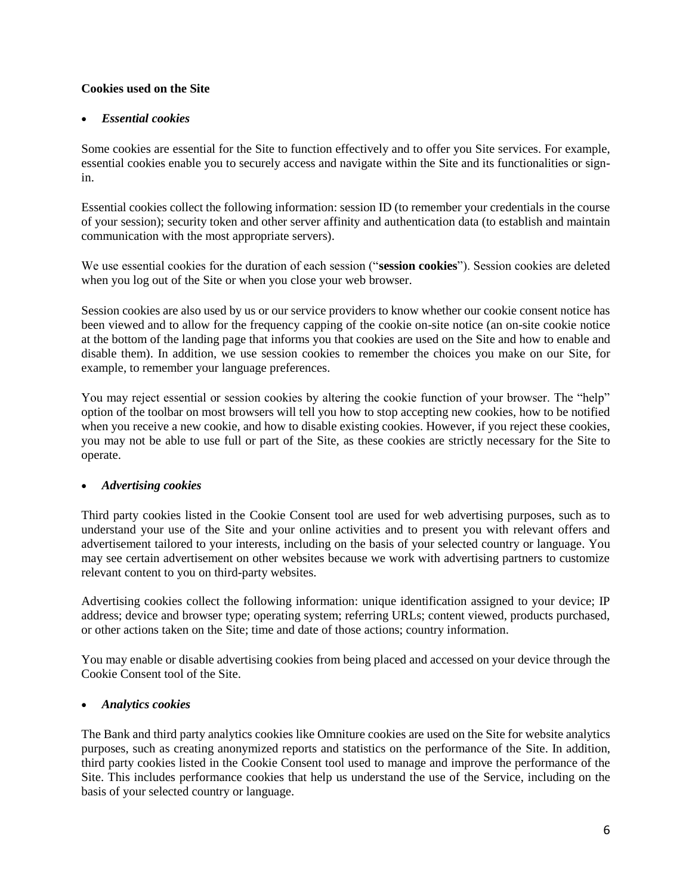## **Cookies used on the Site**

## *Essential cookies*

Some cookies are essential for the Site to function effectively and to offer you Site services. For example, essential cookies enable you to securely access and navigate within the Site and its functionalities or signin.

Essential cookies collect the following information: session ID (to remember your credentials in the course of your session); security token and other server affinity and authentication data (to establish and maintain communication with the most appropriate servers).

We use essential cookies for the duration of each session ("**session cookies**"). Session cookies are deleted when you log out of the Site or when you close your web browser.

Session cookies are also used by us or our service providers to know whether our cookie consent notice has been viewed and to allow for the frequency capping of the cookie on-site notice (an on-site cookie notice at the bottom of the landing page that informs you that cookies are used on the Site and how to enable and disable them). In addition, we use session cookies to remember the choices you make on our Site, for example, to remember your language preferences.

You may reject essential or session cookies by altering the cookie function of your browser. The "help" option of the toolbar on most browsers will tell you how to stop accepting new cookies, how to be notified when you receive a new cookie, and how to disable existing cookies. However, if you reject these cookies, you may not be able to use full or part of the Site, as these cookies are strictly necessary for the Site to operate.

## *Advertising cookies*

Third party cookies listed in the Cookie Consent tool are used for web advertising purposes, such as to understand your use of the Site and your online activities and to present you with relevant offers and advertisement tailored to your interests, including on the basis of your selected country or language. You may see certain advertisement on other websites because we work with advertising partners to customize relevant content to you on third-party websites.

Advertising cookies collect the following information: unique identification assigned to your device; IP address; device and browser type; operating system; referring URLs; content viewed, products purchased, or other actions taken on the Site; time and date of those actions; country information.

You may enable or disable advertising cookies from being placed and accessed on your device through the Cookie Consent tool of the Site.

### *Analytics cookies*

The Bank and third party analytics cookies like Omniture cookies are used on the Site for website analytics purposes, such as creating anonymized reports and statistics on the performance of the Site. In addition, third party cookies listed in the Cookie Consent tool used to manage and improve the performance of the Site. This includes performance cookies that help us understand the use of the Service, including on the basis of your selected country or language.